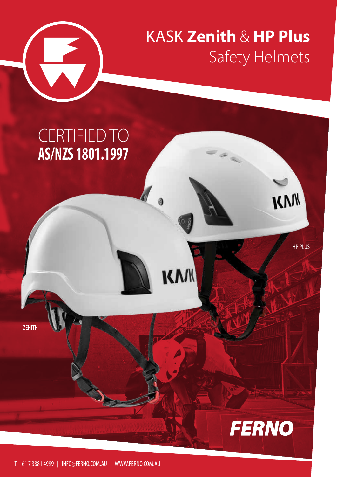

## KASK **Zenith** & **HP Plus** Safety Helmets

KW

HP PLUS

KWW

**FERNO** 

### CERTIFIED TO **AS/NZS 1801.1997**

ZENITH

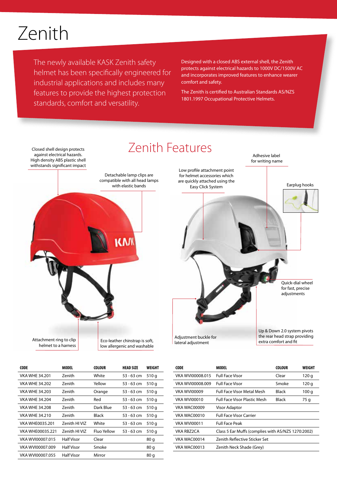## Zenith

The newly available KASK Zenith safety helmet has been specifically engineered for industrial applications and includes many features to provide the highest protection standards, comfort and versatility.

Designed with a closed ABS external shell, the Zenith protects against electrical hazards to 1000V DC/1500V AC and incorporates improved features to enhance wearer comfort and safety.

The Zenith is certified to Australian Standards AS/NZS 1801.1997 Occupational Protective Helmets.



| <b>CODE</b>            | MODEL               | <b>COLOUR</b> | <b>HEAD SIZE</b> | WEIGHT |
|------------------------|---------------------|---------------|------------------|--------|
| <b>VKA WHE 34,201</b>  | Zenith              | White         | 53 - 63 cm       | 510q   |
| <b>VKA WHE 34.202</b>  | Zenith              | Yellow        | 53 - 63 cm       | 510q   |
| <b>VKA WHF 34.203</b>  | Zenith              | Orange        | 53 - 63 cm       | 510q   |
| <b>VKA WHF 34.204</b>  | Zenith              | Red           | 53 - 63 cm       | 510q   |
| <b>VKA WHE 34,208</b>  | Zenith              | Dark Blue     | $53 - 63$ cm     | 510q   |
| <b>VKA WHF 34.210</b>  | Zenith              | Black         | 53 - 63 cm       | 510 g  |
| <b>VKA WHE0035.201</b> | 7enith HI VI7       | White         | 53 - 63 cm       | 510 g  |
| VKA WHE00035.221       | <b>Zenith HIVIZ</b> | Fluo Yellow   | 53 - 63 cm       | 510q   |
| VKA WVI00007.015       | Half Visor          | Clear         |                  | 80q    |
| VKA WVI00007.009       | <b>Half Visor</b>   | Smoke         |                  | 80q    |
| VKA WVI00007.055       | Half Visor          | Mirror        |                  | 80 g   |

| CODE                | <b>MODEL</b>                                       | <b>COLOUR</b> | WEIGHT |
|---------------------|----------------------------------------------------|---------------|--------|
| VKA WVI00008.015    | <b>Full Face Visor</b>                             | Clear         | 120q   |
| VKA WVI00008.009    | <b>Full Face Visor</b>                             | Smoke         | 120q   |
| <b>VKA WVI00009</b> | <b>Full Face Visor Metal Mesh</b>                  | Black         | 100 g  |
| VKA WVI00010        | <b>Full Face Visor Plastic Mesh</b>                | Black         | 75 g   |
| VKA WAC00009        | <b>Visor Adaptor</b>                               |               |        |
| VKA WAC00010        | <b>Full Face Visor Carrier</b>                     |               |        |
| VKA WVI00011        | <b>Full Face Peak</b>                              |               |        |
| <b>VKA RBZ2CA</b>   | Class 5 Ear Muffs (complies with AS/NZS 1270:2002) |               |        |
| VKA WAC00014        | Zenith Reflective Sticker Set                      |               |        |
| VKA WAC00013        | Zenith Neck Shade (Grey)                           |               |        |
|                     |                                                    |               |        |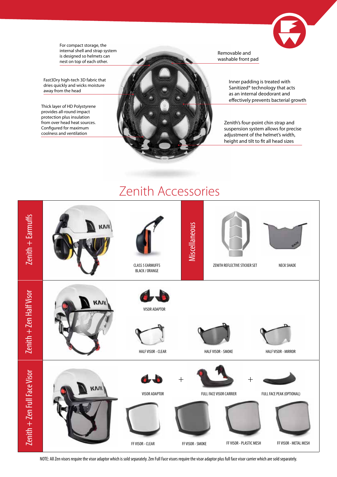

For compact storage, the internal shell and strap system is designed so helmets can nest on top of each other.

Fast3Dry high-tech 3D fabric that dries quickly and wicks moisture away from the head

Thick layer of HD Polystyrene provides all-round impact protection plus insulation from over head heat sources. Configured for maximum coolness and ventilation



Removable and washable front pad

> Inner padding is treated with Sanitized® technology that acts as an internal deodorant and effectively prevents bacterial growth

Zenith's four-point chin strap and suspension system allows for precise adjustment of the helmet's width, height and tilt to fit all head sizes

#### Zenith Accessories



NOTE: All Zen visors require the visor adaptor which is sold separately. Zen Full Face visors require the visor adaptor plus full face visor carrier which are sold separately.